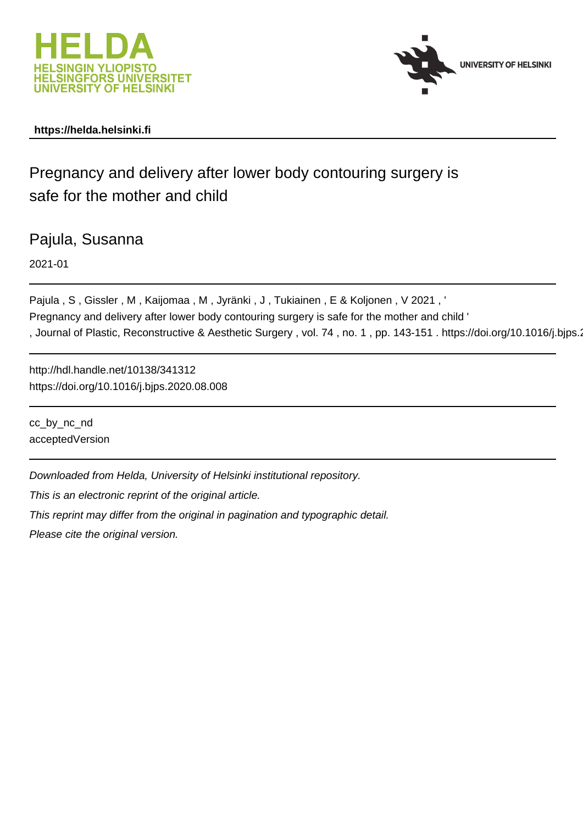



### **https://helda.helsinki.fi**

## Pregnancy and delivery after lower body contouring surgery is safe for the mother and child

Pajula, Susanna

2021-01

Pajula , S , Gissler , M , Kaijomaa , M , Jyränki , J , Tukiainen , E & Koljonen , V 2021 , ' Pregnancy and delivery after lower body contouring surgery is safe for the mother and child ' , Journal of Plastic, Reconstructive & Aesthetic Surgery, vol. 74, no. 1, pp. 143-151. https://doi.org/10.1016/j.bjps.

http://hdl.handle.net/10138/341312 https://doi.org/10.1016/j.bjps.2020.08.008

cc\_by\_nc\_nd acceptedVersion

Downloaded from Helda, University of Helsinki institutional repository.

This is an electronic reprint of the original article.

This reprint may differ from the original in pagination and typographic detail.

Please cite the original version.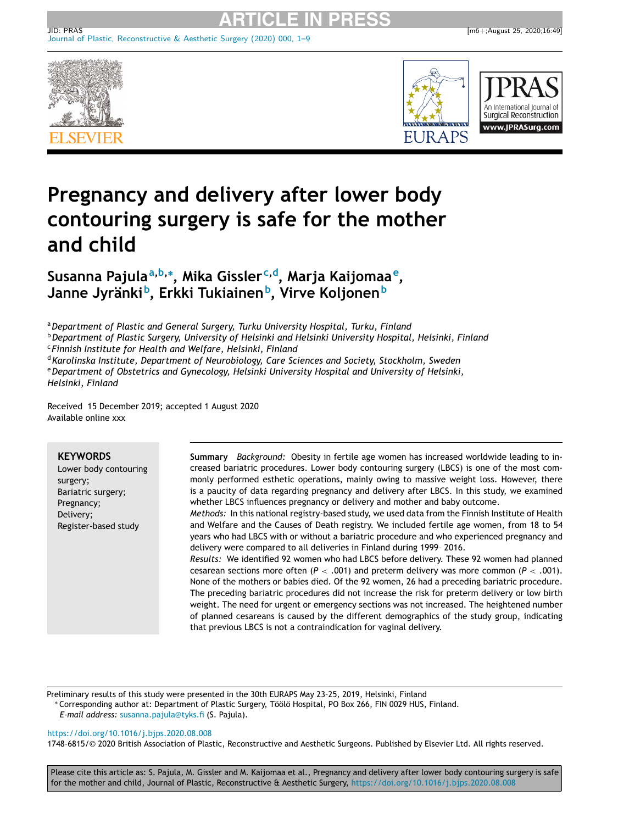



# **Pregnancy and delivery after lower body contouring surgery is safe for the mother and child**

**Susanna Pajulaa,b,<sup>∗</sup> , Mika Gisslerc,d, Marja Kaijomaae, Janne Jyränkib, Erkki Tukiainenb, Virve Koljonen<sup>b</sup>**

Journal of Plastic, [Reconstructive](http://dx.doi.org/10.1016/j.bjps.2020.08.008) & Aesthetic Surgery (2020) 000, 1–9

<sup>a</sup>*Department of Plastic and General Surgery, Turku University Hospital, Turku, Finland*

<sup>b</sup>*Department of Plastic Surgery, University of Helsinki and Helsinki University Hospital, Helsinki, Finland* <sup>c</sup> *Finnish Institute for Health and Welfare, Helsinki, Finland*

<sup>d</sup>*Karolinska Institute, Department of Neurobiology, Care Sciences and Society, Stockholm, Sweden* <sup>e</sup>*Department of Obstetrics and Gynecology, Helsinki University Hospital and University of Helsinki, Helsinki, Finland*

Received 15 December 2019; accepted 1 August 2020 Available online xxx

#### **KEYWORDS**

Lower body contouring surgery; Bariatric surgery; Pregnancy; Delivery; Register-based study

**Summary** *Background:* Obesity in fertile age women has increased worldwide leading to increased bariatric procedures. Lower body contouring surgery (LBCS) is one of the most commonly performed esthetic operations, mainly owing to massive weight loss. However, there is a paucity of data regarding pregnancy and delivery after LBCS. In this study, we examined whether LBCS influences pregnancy or delivery and mother and baby outcome.

*Methods:* In this national registry-based study, we used data from the Finnish Institute of Health and Welfare and the Causes of Death registry. We included fertile age women, from 18 to 54 years who had LBCS with or without a bariatric procedure and who experienced pregnancy and delivery were compared to all deliveries in Finland during 1999– 2016.

*Results:* We identified 92 women who had LBCS before delivery. These 92 women had planned cesarean sections more often (*P* < .001) and preterm delivery was more common (*P* < .001). None of the mothers or babies died. Of the 92 women, 26 had a preceding bariatric procedure. The preceding bariatric procedures did not increase the risk for preterm delivery or low birth weight. The need for urgent or emergency sections was not increased. The heightened number of planned cesareans is caused by the different demographics of the study group, indicating that previous LBCS is not a contraindication for vaginal delivery.

Preliminary results of this study were presented in the 30th EURAPS May 23–25, 2019, Helsinki, Finland ∗ Corresponding author at: Department of Plastic Surgery, Töölö Hospital, PO Box 266, FIN 0029 HUS, Finland. *E-mail address:* [susanna.pajula@tyks.fi](mailto:susanna.pajula@tyks.fi) (S. Pajula).

#### <https://doi.org/10.1016/j.bjps.2020.08.008>

1748-6815/© 2020 British Association of Plastic, Reconstructive and Aesthetic Surgeons. Published by Elsevier Ltd. All rights reserved.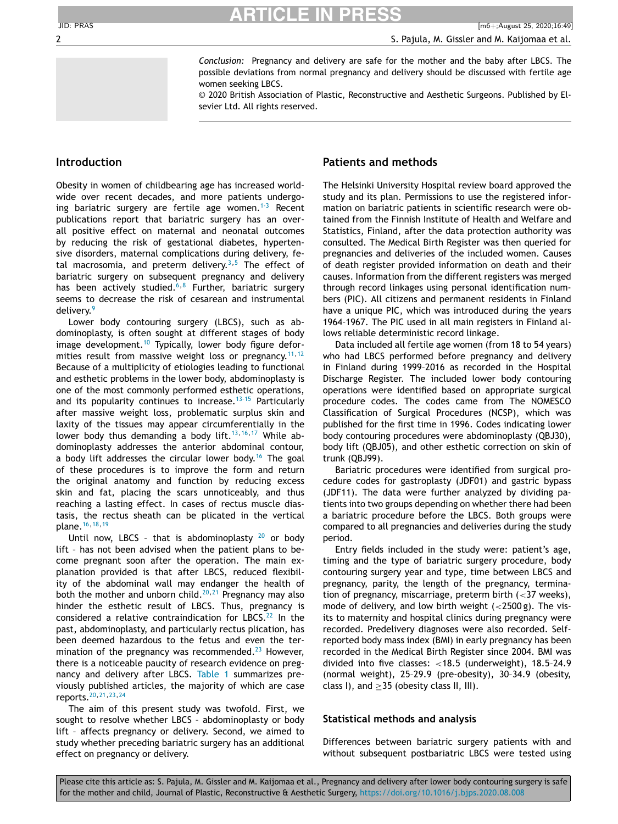*Conclusion:* Pregnancy and delivery are safe for the mother and the baby after LBCS. The possible deviations from normal pregnancy and delivery should be discussed with fertile age women seeking LBCS.

© 2020 British Association of Plastic, Reconstructive and Aesthetic Surgeons. Published by Elsevier Ltd. All rights reserved.

### **Introduction**

Obesity in women of childbearing age has increased worldwide over recent decades, and more patients undergoing bariatric surgery are fertile age women.<sup>1-3</sup> Recent publications report that bariatric surgery has an overall positive effect on maternal and neonatal outcomes by reducing the risk of gestational diabetes, hypertensive disorders, maternal complications during delivery, fetal macrosomia, and preterm delivery.<sup>3,5</sup> The effect of bariatric surgery on subsequent pregnancy and delivery has been actively studied.<sup>6,8</sup> Further, bariatric surgery seems to decrease the risk of cesarean and instrumental delivery.<sup>9</sup>

Lower body contouring surgery (LBCS), such as abdominoplasty, is often sought at different stages of body image development.<sup>10</sup> Typically, lower body figure deformities result from massive weight loss or pregnancy.<sup>11,12</sup> Because of a multiplicity of etiologies leading to functional and esthetic problems in the lower body, abdominoplasty is one of the most commonly performed esthetic operations, and its popularity continues to increase.<sup>13-15</sup> Particularly after massive weight loss, problematic surplus skin and laxity of the tissues may appear circumferentially in the lower body thus demanding a body lift.<sup>13,16,17</sup> While abdominoplasty addresses the anterior abdominal contour, a body lift addresses the circular lower body.<sup>16</sup> The goal of these procedures is to improve the form and return the original anatomy and function by reducing excess skin and fat, placing the scars unnoticeably, and thus reaching a lasting effect. In cases of rectus muscle diastasis, the rectus sheath can be plicated in the vertical plane.16,18,19

Until now, LBCS - that is abdominoplasty  $20$  or body lift – has not been advised when the patient plans to become pregnant soon after the operation. The main explanation provided is that after LBCS, reduced flexibility of the abdominal wall may endanger the health of both the mother and unborn child.<sup>20,21</sup> Pregnancy may also hinder the esthetic result of LBCS. Thus, pregnancy is considered a relative contraindication for LBCS. $^{22}$  In the past, abdominoplasty, and particularly rectus plication, has been deemed hazardous to the fetus and even the termination of the pregnancy was recommended. $^{23}$  However, there is a noticeable paucity of research evidence on pregnancy and delivery after LBCS. Table 1 summarizes previously published articles, the majority of which are case reports.20,21,23,24

The aim of this present study was twofold. First, we sought to resolve whether LBCS – abdominoplasty or body lift – affects pregnancy or delivery. Second, we aimed to study whether preceding bariatric surgery has an additional effect on pregnancy or delivery.

### **Patients and methods**

The Helsinki University Hospital review board approved the study and its plan. Permissions to use the registered information on bariatric patients in scientific research were obtained from the Finnish Institute of Health and Welfare and Statistics, Finland, after the data protection authority was consulted. The Medical Birth Register was then queried for pregnancies and deliveries of the included women. Causes of death register provided information on death and their causes. Information from the different registers was merged through record linkages using personal identification numbers (PIC). All citizens and permanent residents in Finland have a unique PIC, which was introduced during the years 1964–1967. The PIC used in all main registers in Finland allows reliable deterministic record linkage.

Data included all fertile age women (from 18 to 54 years) who had LBCS performed before pregnancy and delivery in Finland during 1999–2016 as recorded in the Hospital Discharge Register. The included lower body contouring operations were identified based on appropriate surgical procedure codes. The codes came from The NOMESCO Classification of Surgical Procedures (NCSP), which was published for the first time in 1996. Codes indicating lower body contouring procedures were abdominoplasty (QBJ30), body lift (QBJ05), and other esthetic correction on skin of trunk (QBJ99).

Bariatric procedures were identified from surgical procedure codes for gastroplasty (JDF01) and gastric bypass (JDF11). The data were further analyzed by dividing patients into two groups depending on whether there had been a bariatric procedure before the LBCS. Both groups were compared to all pregnancies and deliveries during the study period.

Entry fields included in the study were: patient's age, timing and the type of bariatric surgery procedure, body contouring surgery year and type, time between LBCS and pregnancy, parity, the length of the pregnancy, termination of pregnancy, miscarriage, preterm birth (<37 weeks), mode of delivery, and low birth weight  $\left($  <2500 g). The visits to maternity and hospital clinics during pregnancy were recorded. Predelivery diagnoses were also recorded. Selfreported body mass index (BMI) in early pregnancy has been recorded in the Medical Birth Register since 2004. BMI was divided into five classes: <18.5 (underweight), 18.5–24.9 (normal weight), 25–29.9 (pre-obesity), 30–34.9 (obesity, class I), and  $>35$  (obesity class II, III).

#### **Statistical methods and analysis**

Differences between bariatric surgery patients with and without subsequent postbariatric LBCS were tested using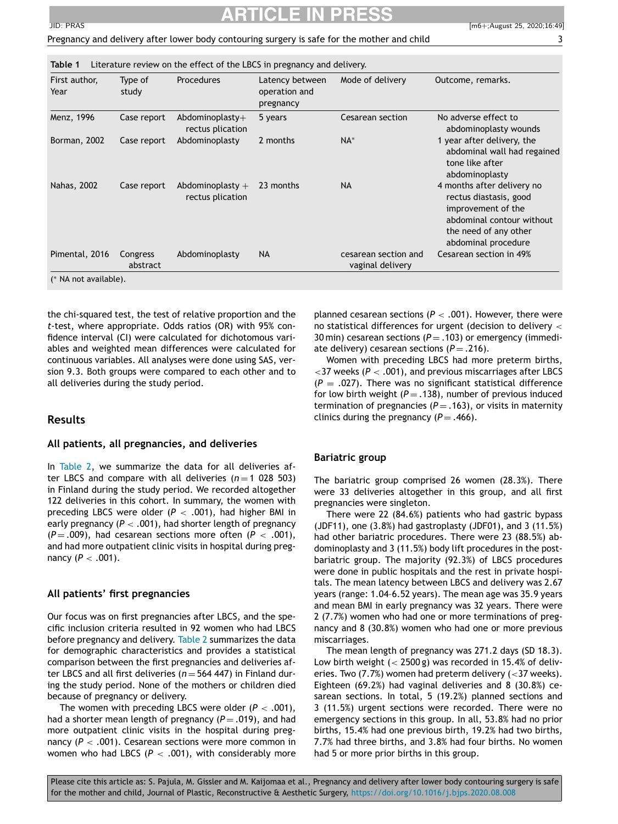## **ARTICLE IN PRESS**

| ٠       |
|---------|
|         |
|         |
| w<br>۰. |

| First author,<br>Year | Type of<br>study     | Procedures                             | Latency between<br>operation and<br>pregnancy | Mode of delivery                         | Outcome, remarks.                                                                                                                                       |
|-----------------------|----------------------|----------------------------------------|-----------------------------------------------|------------------------------------------|---------------------------------------------------------------------------------------------------------------------------------------------------------|
| Menz, 1996            | Case report          | Abdominoplasty $+$<br>rectus plication | 5 years                                       | Cesarean section                         | No adverse effect to<br>abdominoplasty wounds                                                                                                           |
| Borman, 2002          | Case report          | Abdominoplasty                         | 2 months                                      | $NA^*$                                   | 1 year after delivery, the<br>abdominal wall had regained<br>tone like after<br>abdominoplasty                                                          |
| Nahas, 2002           | Case report          | Abdominoplasty $+$<br>rectus plication | 23 months                                     | <b>NA</b>                                | 4 months after delivery no<br>rectus diastasis, good<br>improvement of the<br>abdominal contour without<br>the need of any other<br>abdominal procedure |
| Pimental, 2016        | Congress<br>abstract | Abdominoplasty                         | <b>NA</b>                                     | cesarean section and<br>vaginal delivery | Cesarean section in 49%                                                                                                                                 |

the chi-squared test, the test of relative proportion and the *t*-test, where appropriate. Odds ratios (OR) with 95% confidence interval (CI) were calculated for dichotomous variables and weighted mean differences were calculated for continuous variables. All analyses were done using SAS, version 9.3. Both groups were compared to each other and to all deliveries during the study period.

### **Results**

#### **All patients, all pregnancies, and deliveries**

In Table 2, we summarize the data for all deliveries after LBCS and compare with all deliveries  $(n=1)$  028 503) in Finland during the study period. We recorded altogether 122 deliveries in this cohort. In summary, the women with preceding LBCS were older  $(P < .001)$ , had higher BMI in early pregnancy (*P* < .001), had shorter length of pregnancy  $(P=.009)$ , had cesarean sections more often  $(P < .001)$ , and had more outpatient clinic visits in hospital during pregnancy (*P* < .001).

#### **All patients' first pregnancies**

Our focus was on first pregnancies after LBCS, and the specific inclusion criteria resulted in 92 women who had LBCS before pregnancy and delivery. Table 2 summarizes the data for demographic characteristics and provides a statistical comparison between the first pregnancies and deliveries after LBCS and all first deliveries ( $n = 564 447$ ) in Finland during the study period. None of the mothers or children died because of pregnancy or delivery.

The women with preceding LBCS were older  $(P < .001)$ , had a shorter mean length of pregnancy  $(P = .019)$ , and had more outpatient clinic visits in the hospital during pregnancy (*P* < .001). Cesarean sections were more common in women who had LBCS ( $P < .001$ ), with considerably more planned cesarean sections ( $P < .001$ ). However, there were no statistical differences for urgent (decision to delivery < 30 min) cesarean sections  $(P = .103)$  or emergency (immediate delivery) cesarean sections  $(P = .216)$ .

Women with preceding LBCS had more preterm births,  $<$ 37 weeks ( $P$  < .001), and previous miscarriages after LBCS  $(P = .027)$ . There was no significant statistical difference for low birth weight  $(P = .138)$ , number of previous induced termination of pregnancies  $(P = .163)$ , or visits in maternity clinics during the pregnancy  $(P = .466)$ .

#### **Bariatric group**

The bariatric group comprised 26 women (28.3%). There were 33 deliveries altogether in this group, and all first pregnancies were singleton.

There were 22 (84.6%) patients who had gastric bypass (JDF11), one (3.8%) had gastroplasty (JDF01), and 3 (11.5%) had other bariatric procedures. There were 23 (88.5%) abdominoplasty and 3 (11.5%) body lift procedures in the postbariatric group. The majority (92.3%) of LBCS procedures were done in public hospitals and the rest in private hospitals. The mean latency between LBCS and delivery was 2.67 years (range: 1.04–6.52 years). The mean age was 35.9 years and mean BMI in early pregnancy was 32 years. There were 2 (7.7%) women who had one or more terminations of pregnancy and 8 (30.8%) women who had one or more previous miscarriages.

The mean length of pregnancy was 271.2 days (SD 18.3). Low birth weight (< 2500 g) was recorded in 15.4% of deliveries. Two (7.7%) women had preterm delivery ( $<$ 37 weeks). Eighteen (69.2%) had vaginal deliveries and 8 (30.8%) cesarean sections. In total, 5 (19.2%) planned sections and 3 (11.5%) urgent sections were recorded. There were no emergency sections in this group. In all, 53.8% had no prior births, 15.4% had one previous birth, 19.2% had two births, 7.7% had three births, and 3.8% had four births. No women had 5 or more prior births in this group.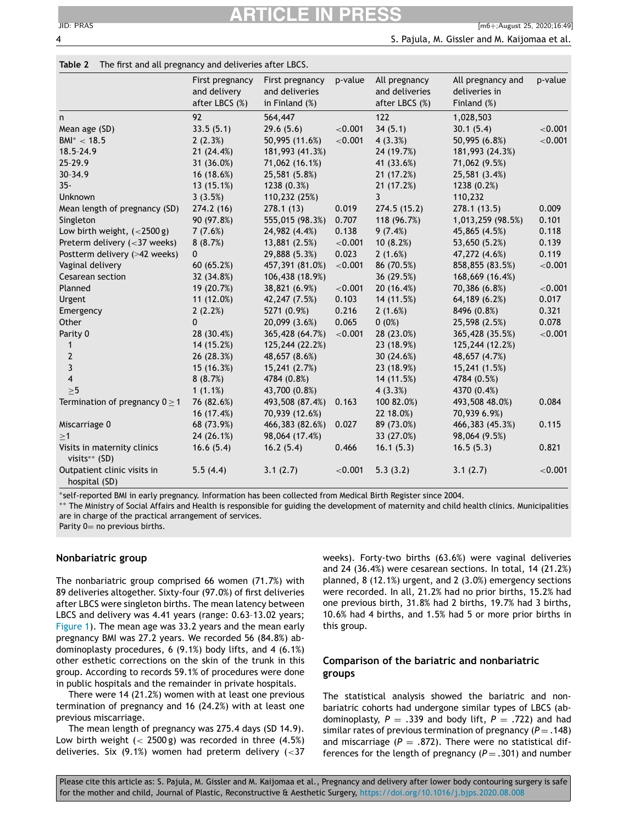#### **Table 2** The first and all pregnancy and deliveries after LBCS.

|                                              | First pregnancy<br>and delivery<br>after LBCS (%) | First pregnancy<br>and deliveries<br>in Finland (%) | p-value    | All pregnancy<br>and deliveries<br>after LBCS (%) | All pregnancy and<br>deliveries in<br>Finland (%) | p-value    |
|----------------------------------------------|---------------------------------------------------|-----------------------------------------------------|------------|---------------------------------------------------|---------------------------------------------------|------------|
| n                                            | 92                                                | 564,447                                             |            | 122                                               | 1,028,503                                         |            |
| Mean age (SD)                                | 33.5(5.1)                                         | 29.6(5.6)                                           | < 0.001    | 34(5.1)                                           | 30.1(5.4)                                         | ${<}0.001$ |
| $BM^* < 18.5$                                | 2(2.3%)                                           | 50,995 (11.6%)                                      | < 0.001    | 4(3.3%)                                           | 50,995 (6.8%)                                     | < 0.001    |
| 18.5-24.9                                    | 21 (24.4%)                                        | 181,993 (41.3%)                                     |            | 24 (19.7%)                                        | 181,993 (24.3%)                                   |            |
| 25-29.9                                      | 31 (36.0%)                                        | 71,062 (16.1%)                                      |            | 41 (33.6%)                                        | 71,062 (9.5%)                                     |            |
| 30-34.9                                      | 16 (18.6%)                                        | 25,581 (5.8%)                                       |            | 21(17.2%)                                         | 25,581 (3.4%)                                     |            |
| $35 -$                                       | 13(15.1%)                                         | 1238 (0.3%)                                         |            | 21 (17.2%)                                        | 1238 (0.2%)                                       |            |
| Unknown                                      | 3(3.5%)                                           | 110,232 (25%)                                       |            | $\overline{3}$                                    | 110,232                                           |            |
| Mean length of pregnancy (SD)                | 274.2(16)                                         | 278.1(13)                                           | 0.019      | 274.5 (15.2)                                      | 278.1(13.5)                                       | 0.009      |
| Singleton                                    | 90 (97.8%)                                        | 555,015 (98.3%)                                     | 0.707      | 118 (96.7%)                                       | 1,013,259 (98.5%)                                 | 0.101      |
| Low birth weight, $(<2500 g)$                | 7(7.6%)                                           | 24,982 (4.4%)                                       | 0.138      | 9(7.4%)                                           | 45,865 (4.5%)                                     | 0.118      |
| Preterm delivery $(<$ 37 weeks)              | 8(8.7%)                                           | 13,881 (2.5%)                                       | ${<}0.001$ | 10(8.2%)                                          | 53,650 (5.2%)                                     | 0.139      |
| Postterm delivery (>42 weeks)                | 0                                                 | 29,888 (5.3%)                                       | 0.023      | 2(1.6%)                                           | 47,272 (4.6%)                                     | 0.119      |
| Vaginal delivery                             | 60(65.2%)                                         | 457,391 (81.0%)                                     | < 0.001    | 86 (70.5%)                                        | 858,855 (83.5%)                                   | ${<}0.001$ |
| Cesarean section                             | 32 (34.8%)                                        | 106,438 (18.9%)                                     |            | 36 (29.5%)                                        | 168,669 (16.4%)                                   |            |
| Planned                                      | 19 (20.7%)                                        | 38,821 (6.9%)                                       | < 0.001    | 20 (16.4%)                                        | 70,386 (6.8%)                                     | < 0.001    |
| Urgent                                       | 11(12.0%)                                         | 42,247 (7.5%)                                       | 0.103      | 14 (11.5%)                                        | 64,189 (6.2%)                                     | 0.017      |
| Emergency                                    | 2(2.2%)                                           | 5271 (0.9%)                                         | 0.216      | 2(1.6%)                                           | 8496 (0.8%)                                       | 0.321      |
| Other                                        | 0                                                 | 20,099 (3.6%)                                       | 0.065      | 0(0%)                                             | 25,598 (2.5%)                                     | 0.078      |
| Parity 0                                     | 28 (30.4%)                                        | 365,428 (64.7%)                                     | < 0.001    | 28 (23.0%)                                        | 365,428 (35.5%)                                   | < 0.001    |
| $\mathbf{1}$                                 | 14 (15.2%)                                        | 125,244 (22.2%)                                     |            | 23 (18.9%)                                        | 125,244 (12.2%)                                   |            |
| $\mathbf{2}$                                 | 26 (28.3%)                                        | 48,657 (8.6%)                                       |            | 30 (24.6%)                                        | 48,657 (4.7%)                                     |            |
| 3                                            | 15 (16.3%)                                        | 15,241 (2.7%)                                       |            | 23 (18.9%)                                        | 15,241 (1.5%)                                     |            |
| $\overline{\mathbf{4}}$                      | 8(8.7%)                                           | 4784 (0.8%)                                         |            | 14 (11.5%)                                        | 4784 (0.5%)                                       |            |
| $\geq 5$                                     | 1(1.1%)                                           | 43,700 (0.8%)                                       |            | 4(3.3%)                                           | 4370 (0.4%)                                       |            |
| Termination of pregnancy $0 \ge 1$           | 76 (82.6%)                                        | 493,508 (87.4%)                                     | 0.163      | 100 82.0%)                                        | 493,508 48.0%)                                    | 0.084      |
|                                              | 16 (17.4%)                                        | 70,939 (12.6%)                                      |            | 22 18.0%)                                         | 70,939 6.9%)                                      |            |
| Miscarriage 0                                | 68 (73.9%)                                        | 466,383 (82.6%)                                     | 0.027      | 89 (73.0%)                                        | 466,383 (45.3%)                                   | 0.115      |
| >1                                           | 24(26.1%)                                         | 98,064 (17.4%)                                      |            | 33 (27.0%)                                        | 98,064 (9.5%)                                     |            |
| Visits in maternity clinics<br>visits** (SD) | 16.6(5.4)                                         | 16.2(5.4)                                           | 0.466      | 16.1(5.3)                                         | 16.5(5.3)                                         | 0.821      |
| Outpatient clinic visits in<br>hospital (SD) | 5.5(4.4)                                          | 3.1(2.7)                                            | < 0.001    | 5.3(3.2)                                          | 3.1(2.7)                                          | ${<}0.001$ |

∗self-reported BMI in early pregnancy. Information has been collected from Medical Birth Register since 2004.

∗∗ The Ministry of Social Affairs and Health is responsible for guiding the development of maternity and child health clinics. Municipalities are in charge of the practical arrangement of services.

Parity  $0=$  no previous births.

#### **Nonbariatric group**

The nonbariatric group comprised 66 women (71.7%) with 89 deliveries altogether. Sixty-four (97.0%) of first deliveries after LBCS were singleton births. The mean latency between LBCS and delivery was 4.41 years (range: 0.63–13.02 years; Figure 1). The mean age was 33.2 years and the mean early pregnancy BMI was 27.2 years. We recorded 56 (84.8%) abdominoplasty procedures, 6 (9.1%) body lifts, and 4 (6.1%) other esthetic corrections on the skin of the trunk in this group. According to records 59.1% of procedures were done in public hospitals and the remainder in private hospitals.

There were 14 (21.2%) women with at least one previous termination of pregnancy and 16 (24.2%) with at least one previous miscarriage.

The mean length of pregnancy was 275.4 days (SD 14.9). Low birth weight  $(< 2500 g$ ) was recorded in three  $(4.5%)$ deliveries. Six  $(9.1%)$  women had preterm delivery  $(-37)$  weeks). Forty-two births (63.6%) were vaginal deliveries and 24 (36.4%) were cesarean sections. In total, 14 (21.2%) planned, 8 (12.1%) urgent, and 2 (3.0%) emergency sections were recorded. In all, 21.2% had no prior births, 15.2% had one previous birth, 31.8% had 2 births, 19.7% had 3 births, 10.6% had 4 births, and 1.5% had 5 or more prior births in this group.

### **Comparison of the bariatric and nonbariatric groups**

The statistical analysis showed the bariatric and nonbariatric cohorts had undergone similar types of LBCS (abdominoplasty,  $P = .339$  and body lift,  $P = .722$ ) and had similar rates of previous termination of pregnancy ( $P = .148$ ) and miscarriage ( $P = .872$ ). There were no statistical differences for the length of pregnancy  $(P = .301)$  and number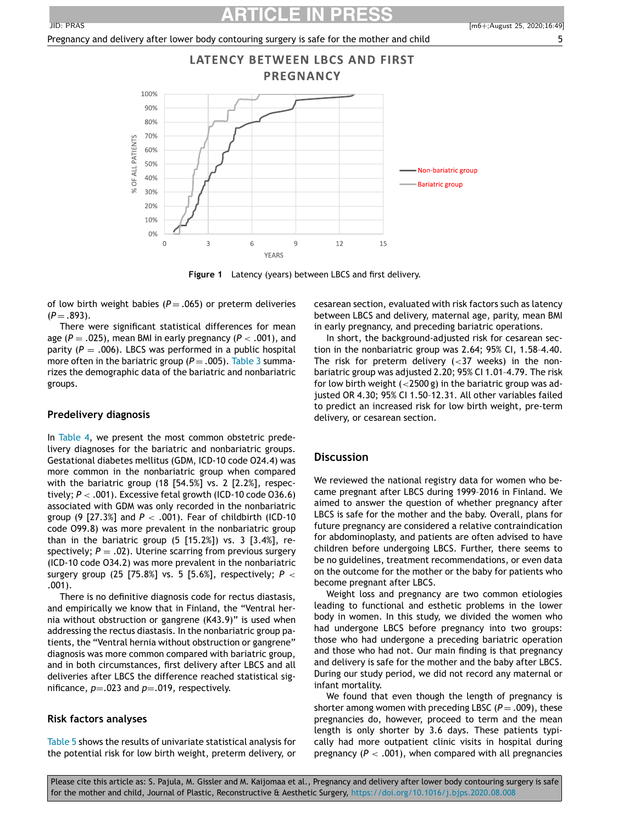

**Figure 1** Latency (years) between LBCS and first delivery.

of low birth weight babies ( $P = .065$ ) or preterm deliveries  $(P = .893)$ .

There were significant statistical differences for mean age ( $P = .025$ ), mean BMI in early pregnancy ( $P < .001$ ), and parity  $(P = .006)$ . LBCS was performed in a public hospital more often in the bariatric group ( $P = .005$ ). Table 3 summarizes the demographic data of the bariatric and nonbariatric groups.

#### **Predelivery diagnosis**

In Table 4, we present the most common obstetric predelivery diagnoses for the bariatric and nonbariatric groups. Gestational diabetes mellitus (GDM, ICD-10 code O24.4) was more common in the nonbariatric group when compared with the bariatric group (18 [54.5%] vs. 2 [2.2%], respectively; *P* < .001). Excessive fetal growth (ICD-10 code O36.6) associated with GDM was only recorded in the nonbariatric group (9 [27.3%] and *P* < .001). Fear of childbirth (ICD-10 code O99.8) was more prevalent in the nonbariatric group than in the bariatric group  $(5 [15.2%])$  vs. 3  $[3.4%]$ , respectively;  $P = .02$ ). Uterine scarring from previous surgery (ICD-10 code O34.2) was more prevalent in the nonbariatric surgery group (25 [75.8%] vs. 5 [5.6%], respectively; *P* < .001).

There is no definitive diagnosis code for rectus diastasis, and empirically we know that in Finland, the "Ventral hernia without obstruction or gangrene (K43.9)" is used when addressing the rectus diastasis. In the nonbariatric group patients, the "Ventral hernia without obstruction or gangrene" diagnosis was more common compared with bariatric group, and in both circumstances, first delivery after LBCS and all deliveries after LBCS the difference reached statistical significance,  $p = .023$  and  $p = .019$ , respectively.

#### **Risk factors analyses**

Table 5 shows the results of univariate statistical analysis for the potential risk for low birth weight, preterm delivery, or cesarean section, evaluated with risk factors such as latency between LBCS and delivery, maternal age, parity, mean BMI in early pregnancy, and preceding bariatric operations.

In short, the background-adjusted risk for cesarean section in the nonbariatric group was 2.64; 95% CI, 1.58–4.40. The risk for preterm delivery  $( $37$  weeks)$  in the nonbariatric group was adjusted 2.20; 95% CI 1.01–4.79. The risk for low birth weight  $\left($  <2500 g) in the bariatric group was adjusted OR 4.30; 95% CI 1.50–12.31. All other variables failed to predict an increased risk for low birth weight, pre-term delivery, or cesarean section.

#### **Discussion**

We reviewed the national registry data for women who became pregnant after LBCS during 1999–2016 in Finland. We aimed to answer the question of whether pregnancy after LBCS is safe for the mother and the baby. Overall, plans for future pregnancy are considered a relative contraindication for abdominoplasty, and patients are often advised to have children before undergoing LBCS. Further, there seems to be no guidelines, treatment recommendations, or even data on the outcome for the mother or the baby for patients who become pregnant after LBCS.

Weight loss and pregnancy are two common etiologies leading to functional and esthetic problems in the lower body in women. In this study, we divided the women who had undergone LBCS before pregnancy into two groups: those who had undergone a preceding bariatric operation and those who had not. Our main finding is that pregnancy and delivery is safe for the mother and the baby after LBCS. During our study period, we did not record any maternal or infant mortality.

We found that even though the length of pregnancy is shorter among women with preceding LBSC  $(P = .009)$ , these pregnancies do, however, proceed to term and the mean length is only shorter by 3.6 days. These patients typically had more outpatient clinic visits in hospital during pregnancy  $(P < .001)$ , when compared with all pregnancies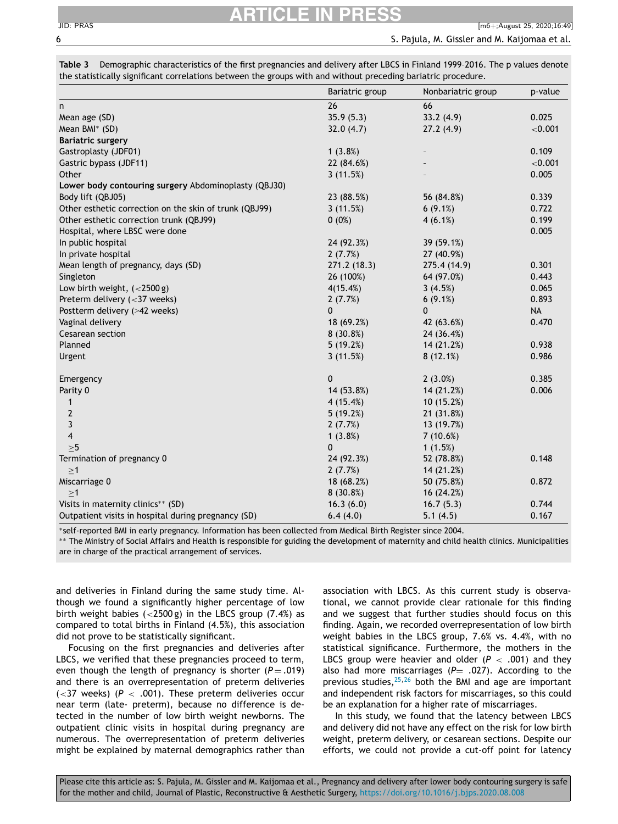|                                                        | Bariatric group | Nonbariatric group | p-value   |
|--------------------------------------------------------|-----------------|--------------------|-----------|
| n                                                      | 26              | 66                 |           |
| Mean age (SD)                                          | 35.9(5.3)       | 33.2(4.9)          | 0.025     |
| Mean BMI* (SD)                                         | 32.0(4.7)       | 27.2(4.9)          | < 0.001   |
| <b>Bariatric surgery</b>                               |                 |                    |           |
| Gastroplasty (JDF01)                                   | 1(3.8%)         |                    | 0.109     |
| Gastric bypass (JDF11)                                 | 22 (84.6%)      |                    | < 0.001   |
| Other                                                  | 3(11.5%)        |                    | 0.005     |
| Lower body contouring surgery Abdominoplasty (QBJ30)   |                 |                    |           |
| Body lift (QBJ05)                                      | 23 (88.5%)      | 56 (84.8%)         | 0.339     |
| Other esthetic correction on the skin of trunk (QBJ99) | 3(11.5%)        | $6(9.1\%)$         | 0.722     |
| Other esthetic correction trunk (QBJ99)                | $0(0\%)$        | 4(6.1%)            | 0.199     |
| Hospital, where LBSC were done                         |                 |                    | 0.005     |
| In public hospital                                     | 24 (92.3%)      | 39 (59.1%)         |           |
| In private hospital                                    | 2(7.7%)         | 27 (40.9%)         |           |
| Mean length of pregnancy, days (SD)                    | 271.2(18.3)     | 275.4 (14.9)       | 0.301     |
| Singleton                                              | 26 (100%)       | 64 (97.0%)         | 0.443     |
| Low birth weight, $(<2500 g)$                          | 4(15.4%)        | 3(4.5%)            | 0.065     |
| Preterm delivery $(<$ 37 weeks)                        | 2(7.7%)         | $6(9.1\%)$         | 0.893     |
| Postterm delivery (>42 weeks)                          | $\mathbf{0}$    | $\mathbf{0}$       | <b>NA</b> |
| Vaginal delivery                                       | 18(69.2%)       | 42 (63.6%)         | 0.470     |
| Cesarean section                                       | 8 (30.8%)       | 24 (36.4%)         |           |
| Planned                                                | 5(19.2%)        | 14 (21.2%)         | 0.938     |
| Urgent                                                 | 3(11.5%)        | 8(12.1%)           | 0.986     |
| Emergency                                              | $\mathbf{0}$    | 2(3.0%)            | 0.385     |
| Parity 0                                               | 14 (53.8%)      | 14 (21.2%)         | 0.006     |
| $\mathbf{1}$                                           | 4(15.4%)        | 10(15.2%)          |           |
| $\overline{2}$                                         | 5(19.2%)        | 21 (31.8%)         |           |
| $\overline{3}$                                         | 2(7.7%)         | 13 (19.7%)         |           |
| $\overline{4}$                                         | 1(3.8%)         | 7(10.6%)           |           |
| >5                                                     | $\Omega$        | 1(1.5%)            |           |
| Termination of pregnancy 0                             | 24 (92.3%)      | 52 (78.8%)         | 0.148     |
| $\geq$ 1                                               | 2(7.7%)         | 14 (21.2%)         |           |
| Miscarriage 0                                          | 18 (68.2%)      | 50 (75.8%)         | 0.872     |
| $\geq$ 1                                               | 8(30.8%)        | 16 (24.2%)         |           |
| Visits in maternity clinics** (SD)                     | 16.3(6.0)       | 16.7(5.3)          | 0.744     |
| Outpatient visits in hospital during pregnancy (SD)    | 6.4(4.0)        | 5.1(4.5)           | 0.167     |

**Table 3** Demographic characteristics of the first pregnancies and delivery after LBCS in Finland 1999–2016. The p values denote the statistically significant correlations between the groups with and without preceding bariatric procedure.

∗self-reported BMI in early pregnancy. Information has been collected from Medical Birth Register since 2004.

∗∗ The Ministry of Social Affairs and Health is responsible for guiding the development of maternity and child health clinics. Municipalities are in charge of the practical arrangement of services.

and deliveries in Finland during the same study time. Although we found a significantly higher percentage of low birth weight babies  $(<2500 g)$  in the LBCS group (7.4%) as compared to total births in Finland (4.5%), this association did not prove to be statistically significant.

Focusing on the first pregnancies and deliveries after LBCS, we verified that these pregnancies proceed to term, even though the length of pregnancy is shorter  $(P = .019)$ and there is an overrepresentation of preterm deliveries ( $<$ 37 weeks) ( $P$   $<$  .001). These preterm deliveries occur near term (late- preterm), because no difference is detected in the number of low birth weight newborns. The outpatient clinic visits in hospital during pregnancy are numerous. The overrepresentation of preterm deliveries might be explained by maternal demographics rather than

association with LBCS. As this current study is observational, we cannot provide clear rationale for this finding and we suggest that further studies should focus on this finding. Again, we recorded overrepresentation of low birth weight babies in the LBCS group, 7.6% vs. 4.4%, with no statistical significance. Furthermore, the mothers in the LBCS group were heavier and older  $(P < .001)$  and they also had more miscarriages ( $P=$  .027). According to the previous studies, $25,26$  both the BMI and age are important and independent risk factors for miscarriages, so this could be an explanation for a higher rate of miscarriages.

In this study, we found that the latency between LBCS and delivery did not have any effect on the risk for low birth weight, preterm delivery, or cesarean sections. Despite our efforts, we could not provide a cut-off point for latency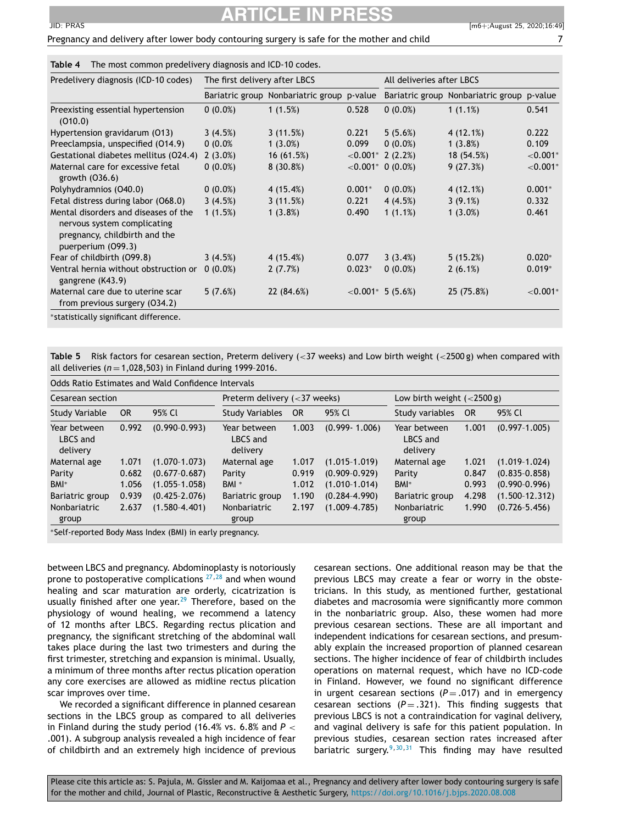## **ARTICLE IN PRESS**

| The most common predelivery diagnosis and ICD-10 codes.<br>Table 4                                                         |                               |                                            |          |                           |                                            |             |
|----------------------------------------------------------------------------------------------------------------------------|-------------------------------|--------------------------------------------|----------|---------------------------|--------------------------------------------|-------------|
| Predelivery diagnosis (ICD-10 codes)                                                                                       | The first delivery after LBCS |                                            |          | All deliveries after LBCS |                                            |             |
|                                                                                                                            |                               | Bariatric group Nonbariatric group p-value |          |                           | Bariatric group Nonbariatric group p-value |             |
| Preexisting essential hypertension<br>(010.0)                                                                              | $0(0.0\%)$                    | 1(1.5%)                                    | 0.528    | $0(0.0\%)$                | 1(1.1%)                                    | 0.541       |
| Hypertension gravidarum (013)                                                                                              | 3(4.5%)                       | 3(11.5%)                                   | 0.221    | 5(5.6%)                   | 4 (12.1%)                                  | 0.222       |
| Preeclampsia, unspecified (014.9)                                                                                          | 0(0.0%                        | $1(3.0\%)$                                 | 0.099    | $0(0.0\%)$                | 1(3.8%)                                    | 0.109       |
| Gestational diabetes mellitus (024.4)                                                                                      | $2(3.0\%)$                    | 16(61.5%)                                  |          | $< 0.001$ * 2 (2.2%)      | 18 (54.5%)                                 | ${<}0.001*$ |
| Maternal care for excessive fetal<br>growth (036.6)                                                                        | $0(0.0\%)$                    | 8(30.8%)                                   |          | $< 0.001^*$ 0 (0.0%)      | 9(27.3%)                                   | ${<}0.001*$ |
| Polyhydramnios (040.0)                                                                                                     | $0(0.0\%)$                    | 4(15.4%)                                   | $0.001*$ | $0(0.0\%)$                | 4(12.1%)                                   | $0.001*$    |
| Fetal distress during labor (068.0)                                                                                        | 3(4.5%)                       | 3(11.5%)                                   | 0.221    | 4(4.5%)                   | $3(9.1\%)$                                 | 0.332       |
| Mental disorders and diseases of the<br>nervous system complicating<br>pregnancy, childbirth and the<br>puerperium (099.3) | 1(1.5%)                       | 1(3.8%)                                    | 0.490    | 1(1.1%)                   | $1(3.0\%)$                                 | 0.461       |
| Fear of childbirth (099.8)                                                                                                 | 3(4.5%)                       | 4(15.4%)                                   | 0.077    | 3(3.4%)                   | 5(15.2%)                                   | $0.020*$    |
| Ventral hernia without obstruction or<br>gangrene (K43.9)                                                                  | $0(0.0\%)$                    | 2(7.7%)                                    | $0.023*$ | $0(0.0\%)$                | 2(6.1%)                                    | $0.019*$    |
| Maternal care due to uterine scar<br>from previous surgery (034.2)                                                         | 5(7.6%)                       | 22 (84.6%)                                 |          | $< 0.001^*$ 5 (5.6%)      | 25 (75.8%)                                 | ${<}0.001*$ |

∗statistically significant difference.

**Table 5** Risk factors for cesarean section, Preterm delivery (<37 weeks) and Low birth weight (<2500 g) when compared with all deliveries ( $n = 1,028,503$ ) in Finland during 1999-2016.

| Cesarean section |                                        | Preterm delivery $(<$ 37 weeks)        |                                                                                 |                                        | Low birth weight $(<2500 g)$         |                           |                                                             |
|------------------|----------------------------------------|----------------------------------------|---------------------------------------------------------------------------------|----------------------------------------|--------------------------------------|---------------------------|-------------------------------------------------------------|
| OR.              | 95% Cl                                 | <b>Study Variables</b>                 | <b>OR</b>                                                                       | 95% Cl                                 | Study variables                      | <b>OR</b>                 | 95% Cl                                                      |
| 0.992            | $(0.990 - 0.993)$                      | Year between<br>LBCS and<br>delivery   | 1.003                                                                           | $(0.999 - 1.006)$                      | Year between<br>LBCS and<br>delivery | 1.001                     | $(0.997 - 1.005)$                                           |
| 1.071<br>0.682   | $(1.070 - 1.073)$<br>$(0.677 - 0.687)$ | Maternal age<br>Parity                 | 1.017<br>0.919                                                                  | $(1.015 - 1.019)$<br>$(0.909 - 0.929)$ | Maternal age<br>Parity               | 1.021<br>0.847            | $(1.019 - 1.024)$<br>$(0.835 - 0.858)$<br>$(0.990 - 0.996)$ |
| 0.939<br>2.637   | $(0.425 - 2.076)$<br>$(1.580 - 4.401)$ | Bariatric group<br><b>Nonbariatric</b> | 1.190<br>2.197                                                                  | $(0.284 - 4.990)$<br>$(1.009 - 4.785)$ | Bariatric group<br>Nonbariatric      | 4.298<br>1.990            | $(1.500 - 12.312)$<br>$(0.726 - 5.456)$                     |
|                  | 1.056                                  | $(1.055 - 1.058)$                      | Odds Ratio Estimates and Wald Confidence Intervals<br>BMI <sup>*</sup><br>group | 1.012                                  | $(1.010-1.014)$                      | BMI <sup>*</sup><br>group | 0.993                                                       |

∗Self-reported Body Mass Index (BMI) in early pregnancy.

between LBCS and pregnancy. Abdominoplasty is notoriously prone to postoperative complications<sup>27,28</sup> and when wound healing and scar maturation are orderly, cicatrization is usually finished after one year.<sup>29</sup> Therefore, based on the physiology of wound healing, we recommend a latency of 12 months after LBCS. Regarding rectus plication and pregnancy, the significant stretching of the abdominal wall takes place during the last two trimesters and during the first trimester, stretching and expansion is minimal. Usually, a minimum of three months after rectus plication operation any core exercises are allowed as midline rectus plication scar improves over time.

We recorded a significant difference in planned cesarean sections in the LBCS group as compared to all deliveries in Finland during the study period (16.4% vs. 6.8% and *P* < .001). A subgroup analysis revealed a high incidence of fear of childbirth and an extremely high incidence of previous cesarean sections. One additional reason may be that the previous LBCS may create a fear or worry in the obstetricians. In this study, as mentioned further, gestational diabetes and macrosomia were significantly more common in the nonbariatric group. Also, these women had more previous cesarean sections. These are all important and independent indications for cesarean sections, and presumably explain the increased proportion of planned cesarean sections. The higher incidence of fear of childbirth includes operations on maternal request, which have no ICD-code in Finland. However, we found no significant difference in urgent cesarean sections  $(P = .017)$  and in emergency cesarean sections  $(P = .321)$ . This finding suggests that previous LBCS is not a contraindication for vaginal delivery, and vaginal delivery is safe for this patient population. In previous studies, cesarean section rates increased after bariatric surgery.<sup>9,30,31</sup> This finding may have resulted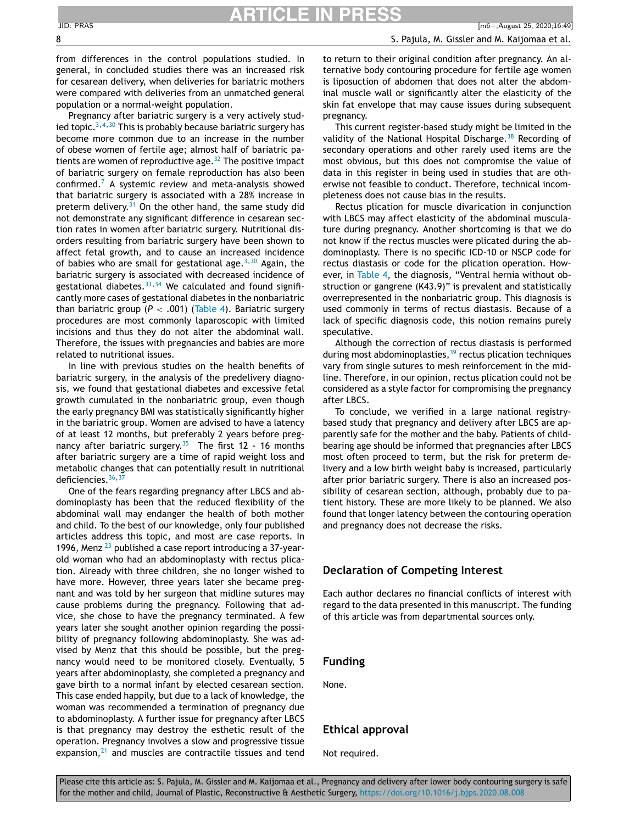from differences in the control populations studied. In general, in concluded studies there was an increased risk for cesarean delivery, when deliveries for bariatric mothers were compared with deliveries from an unmatched general population or a normal-weight population.

Pregnancy after bariatric surgery is a very actively studied topic. $3,4,30$  This is probably because bariatric surgery has become more common due to an increase in the number of obese women of fertile age; almost half of bariatric patients are women of reproductive age. $32$  The positive impact of bariatric surgery on female reproduction has also been confirmed.<sup>7</sup> A systemic review and meta-analysis showed that bariatric surgery is associated with a 28% increase in preterm delivery. $31$  On the other hand, the same study did not demonstrate any significant difference in cesarean section rates in women after bariatric surgery. Nutritional disorders resulting from bariatric surgery have been shown to affect fetal growth, and to cause an increased incidence of babies who are small for gestational age.<sup>3,30</sup> Again, the bariatric surgery is associated with decreased incidence of gestational diabetes.  $33,34$  We calculated and found significantly more cases of gestational diabetes in the nonbariatric than bariatric group ( $P < .001$ ) (Table 4). Bariatric surgery procedures are most commonly laparoscopic with limited incisions and thus they do not alter the abdominal wall. Therefore, the issues with pregnancies and babies are more related to nutritional issues.

In line with previous studies on the health benefits of bariatric surgery, in the analysis of the predelivery diagnosis, we found that gestational diabetes and excessive fetal growth cumulated in the nonbariatric group, even though the early pregnancy BMI was statistically significantly higher in the bariatric group. Women are advised to have a latency of at least 12 months, but preferably 2 years before pregnancy after bariatric surgery.<sup>35</sup> The first 12 - 16 months after bariatric surgery are a time of rapid weight loss and metabolic changes that can potentially result in nutritional deficiencies.<sup>36,37</sup>

One of the fears regarding pregnancy after LBCS and abdominoplasty has been that the reduced flexibility of the abdominal wall may endanger the health of both mother and child. To the best of our knowledge, only four published articles address this topic, and most are case reports. In 1996, Menz  $^{23}$  published a case report introducing a 37-yearold woman who had an abdominoplasty with rectus plication. Already with three children, she no longer wished to have more. However, three years later she became pregnant and was told by her surgeon that midline sutures may cause problems during the pregnancy. Following that advice, she chose to have the pregnancy terminated. A few years later she sought another opinion regarding the possibility of pregnancy following abdominoplasty. She was advised by Menz that this should be possible, but the pregnancy would need to be monitored closely. Eventually, 5 years after abdominoplasty, she completed a pregnancy and gave birth to a normal infant by elected cesarean section. This case ended happily, but due to a lack of knowledge, the woman was recommended a termination of pregnancy due to abdominoplasty. A further issue for pregnancy after LBCS is that pregnancy may destroy the esthetic result of the operation. Pregnancy involves a slow and progressive tissue expansion, $21$  and muscles are contractile tissues and tend

to return to their original condition after pregnancy. An alternative body contouring procedure for fertile age women is liposuction of abdomen that does not alter the abdominal muscle wall or significantly alter the elasticity of the skin fat envelope that may cause issues during subsequent pregnancy.

This current register-based study might be limited in the validity of the National Hospital Discharge.<sup>38</sup> Recording of secondary operations and other rarely used items are the most obvious, but this does not compromise the value of data in this register in being used in studies that are otherwise not feasible to conduct. Therefore, technical incompleteness does not cause bias in the results.

Rectus plication for muscle divarication in conjunction with LBCS may affect elasticity of the abdominal musculature during pregnancy. Another shortcoming is that we do not know if the rectus muscles were plicated during the abdominoplasty. There is no specific ICD-10 or NSCP code for rectus diastasis or code for the plication operation. However, in Table 4, the diagnosis, "Ventral hernia without obstruction or gangrene (K43.9)" is prevalent and statistically overrepresented in the nonbariatric group. This diagnosis is used commonly in terms of rectus diastasis. Because of a lack of specific diagnosis code, this notion remains purely speculative.

Although the correction of rectus diastasis is performed during most abdominoplasties,<sup>39</sup> rectus plication techniques vary from single sutures to mesh reinforcement in the midline. Therefore, in our opinion, rectus plication could not be considered as a style factor for compromising the pregnancy after LBCS.

To conclude, we verified in a large national registrybased study that pregnancy and delivery after LBCS are apparently safe for the mother and the baby. Patients of childbearing age should be informed that pregnancies after LBCS most often proceed to term, but the risk for preterm delivery and a low birth weight baby is increased, particularly after prior bariatric surgery. There is also an increased possibility of cesarean section, although, probably due to patient history. These are more likely to be planned. We also found that longer latency between the contouring operation and pregnancy does not decrease the risks.

#### **Declaration of Competing Interest**

Each author declares no financial conflicts of interest with regard to the data presented in this manuscript. The funding of this article was from departmental sources only.

#### **Funding**

None.

### **Ethical approval**

Not required.